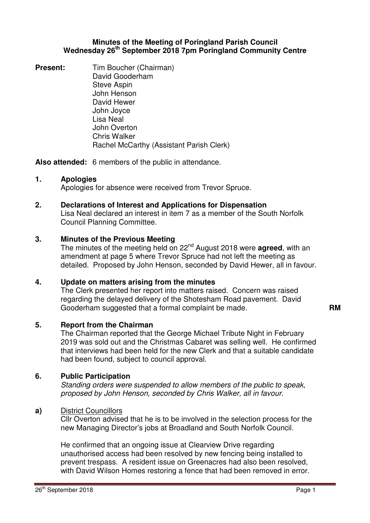### **Minutes of the Meeting of Poringland Parish Council Wednesday 26th September 2018 7pm Poringland Community Centre**

**Present:** Tim Boucher (Chairman) David Gooderham Steve Aspin John Henson David Hewer John Joyce Lisa Neal John Overton Chris Walker Rachel McCarthy (Assistant Parish Clerk)

**Also attended:** 6 members of the public in attendance.

## **1. Apologies**

Apologies for absence were received from Trevor Spruce.

## **2. Declarations of Interest and Applications for Dispensation**

Lisa Neal declared an interest in item 7 as a member of the South Norfolk Council Planning Committee.

## **3. Minutes of the Previous Meeting**

The minutes of the meeting held on 22nd August 2018 were **agreed**, with an amendment at page 5 where Trevor Spruce had not left the meeting as detailed. Proposed by John Henson, seconded by David Hewer, all in favour.

## **4. Update on matters arising from the minutes**

The Clerk presented her report into matters raised. Concern was raised regarding the delayed delivery of the Shotesham Road pavement. David Gooderham suggested that a formal complaint be made. **RM** 

## **5. Report from the Chairman**

The Chairman reported that the George Michael Tribute Night in February 2019 was sold out and the Christmas Cabaret was selling well. He confirmed that interviews had been held for the new Clerk and that a suitable candidate had been found, subject to council approval.

## **6. Public Participation**

Standing orders were suspended to allow members of the public to speak, proposed by John Henson, seconded by Chris Walker, all in favour.

## **a)** District Councillors

Cllr Overton advised that he is to be involved in the selection process for the new Managing Director's jobs at Broadland and South Norfolk Council.

He confirmed that an ongoing issue at Clearview Drive regarding unauthorised access had been resolved by new fencing being installed to prevent trespass. A resident issue on Greenacres had also been resolved, with David Wilson Homes restoring a fence that had been removed in error.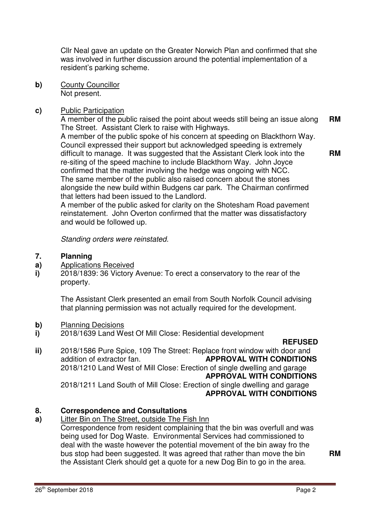Cllr Neal gave an update on the Greater Norwich Plan and confirmed that she was involved in further discussion around the potential implementation of a resident's parking scheme.

**b)** County Councillor Not present.

## **c)** Public Participation

A member of the public raised the point about weeds still being an issue along The Street. Assistant Clerk to raise with Highways. **RM** 

A member of the public spoke of his concern at speeding on Blackthorn Way. Council expressed their support but acknowledged speeding is extremely difficult to manage. It was suggested that the Assistant Clerk look into the re-siting of the speed machine to include Blackthorn Way. John Joyce confirmed that the matter involving the hedge was ongoing with NCC. The same member of the public also raised concern about the stones alongside the new build within Budgens car park. The Chairman confirmed that letters had been issued to the Landlord.

A member of the public asked for clarity on the Shotesham Road pavement reinstatement. John Overton confirmed that the matter was dissatisfactory and would be followed up.

Standing orders were reinstated.

#### **7. Planning**

- **a)**  Applications Received
- **i)**  2018/1839: 36 Victory Avenue: To erect a conservatory to the rear of the property.

The Assistant Clerk presented an email from South Norfolk Council advising that planning permission was not actually required for the development.

- **b)** Planning Decisions
- **i)**  2018/1639 Land West Of Mill Close: Residential development

**REFUSED REFUSED** 

**ii)**  2018/1586 Pure Spice, 109 The Street: Replace front window with door and addition of extractor fan. **APPROVAL WITH CONDITIONS**  2018/1210 Land West of Mill Close: Erection of single dwelling and garage **APPROVAL WITH CONDITIONS**  2018/1211 Land South of Mill Close: Erection of single dwelling and garage **APPROVAL WITH CONDITIONS** 

### **8. Correspondence and Consultations**

**a)**  Litter Bin on The Street, outside The Fish Inn

Correspondence from resident complaining that the bin was overfull and was being used for Dog Waste. Environmental Services had commissioned to deal with the waste however the potential movement of the bin away fro the bus stop had been suggested. It was agreed that rather than move the bin the Assistant Clerk should get a quote for a new Dog Bin to go in the area.

**RM** 

**RM**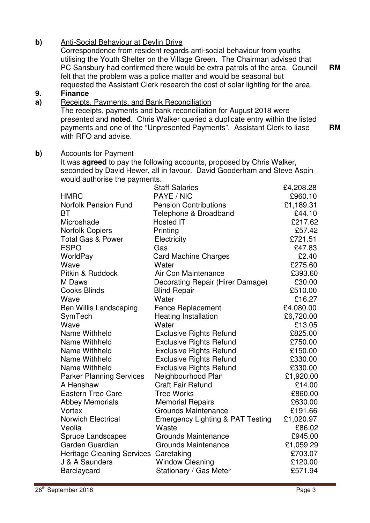# **b)** Anti-Social Behaviour at Devlin Drive

Correspondence from resident regards anti-social behaviour from youths utilising the Youth Shelter on the Village Green. The Chairman advised that PC Sansbury had confirmed there would be extra patrols of the area. Council felt that the problem was a police matter and would be seasonal but requested the Assistant Clerk research the cost of solar lighting for the area.

#### **9. Finance**

#### **a)**  Receipts, Payments, and Bank Reconciliation

The receipts, payments and bank reconciliation for August 2018 were presented and **noted**. Chris Walker queried a duplicate entry within the listed payments and one of the "Unpresented Payments". Assistant Clerk to liase with RFO and advise. **RM** 

### **b)** Accounts for Payment

It was **agreed** to pay the following accounts, proposed by Chris Walker, seconded by David Hewer, all in favour. David Gooderham and Steve Aspin would authorise the payments.

|                                   | <b>Staff Salaries</b>                       | £4,208.28 |
|-----------------------------------|---------------------------------------------|-----------|
| <b>HMRC</b>                       | PAYE / NIC                                  | £960.10   |
| <b>Norfolk Pension Fund</b>       | <b>Pension Contributions</b>                | £1,189.31 |
| ВT                                | Telephone & Broadband                       | £44.10    |
| Microshade                        | <b>Hosted IT</b>                            | £217.62   |
| <b>Norfolk Copiers</b>            | Printing                                    | £57.42    |
| <b>Total Gas &amp; Power</b>      | Electricity                                 | £721.51   |
| <b>ESPO</b>                       | Gas                                         | £47.83    |
| WorldPay                          | <b>Card Machine Charges</b>                 | £2.40     |
| Wave                              | Water                                       | £275.60   |
| Pitkin & Ruddock                  | Air Con Maintenance                         | £393.60   |
| M Daws                            | Decorating Repair (Hirer Damage)            | £30.00    |
| <b>Cooks Blinds</b>               | <b>Blind Repair</b>                         | £510.00   |
| Wave                              | Water                                       | £16.27    |
| <b>Ben Willis Landscaping</b>     | <b>Fence Replacement</b>                    | £4,080.00 |
| SymTech                           | <b>Heating Installation</b>                 | £6,720.00 |
| Wave                              | Water                                       | £13.05    |
| <b>Name Withheld</b>              | <b>Exclusive Rights Refund</b>              | £825.00   |
| Name Withheld                     | <b>Exclusive Rights Refund</b>              | £750.00   |
| Name Withheld                     | <b>Exclusive Rights Refund</b>              | £150.00   |
| Name Withheld                     | <b>Exclusive Rights Refund</b>              | £330.00   |
| Name Withheld                     | <b>Exclusive Rights Refund</b>              | £330.00   |
| <b>Parker Planning Services</b>   | Neighbourhood Plan                          | £1,920.00 |
| A Henshaw                         | <b>Craft Fair Refund</b>                    | £14.00    |
| <b>Eastern Tree Care</b>          | <b>Tree Works</b>                           | £860.00   |
| <b>Abbey Memorials</b>            | <b>Memorial Repairs</b>                     | £630.00   |
| Vortex                            | <b>Grounds Maintenance</b>                  | £191.66   |
| <b>Norwich Electrical</b>         | <b>Emergency Lighting &amp; PAT Testing</b> | £1,020.97 |
| Veolia                            | Waste                                       | £86.02    |
| <b>Spruce Landscapes</b>          | <b>Grounds Maintenance</b>                  | £945.00   |
| Garden Guardian                   | <b>Grounds Maintenance</b>                  | £1,059.29 |
| <b>Heritage Cleaning Services</b> | Caretaking                                  | £703.07   |
| J & A Saunders                    | <b>Window Cleaning</b>                      | £120.00   |
| <b>Barclaycard</b>                | Stationary / Gas Meter                      | £571.94   |

**RM**